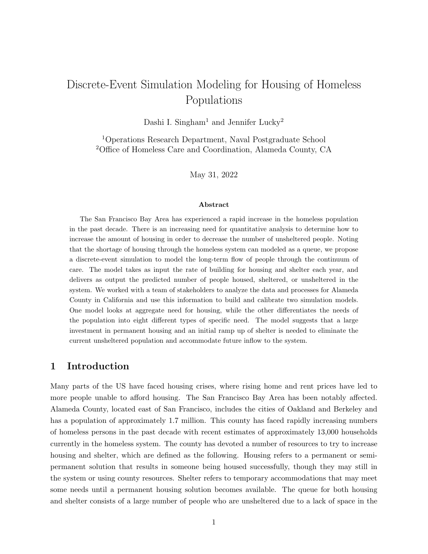# Discrete-Event Simulation Modeling for Housing of Homeless Populations

Dashi I. Singham<sup>1</sup> and Jennifer Lucky<sup>2</sup>

<sup>1</sup>Operations Research Department, Naval Postgraduate School <sup>2</sup>Office of Homeless Care and Coordination, Alameda County, CA

May 31, 2022

#### Abstract

The San Francisco Bay Area has experienced a rapid increase in the homeless population in the past decade. There is an increasing need for quantitative analysis to determine how to increase the amount of housing in order to decrease the number of unsheltered people. Noting that the shortage of housing through the homeless system can modeled as a queue, we propose a discrete-event simulation to model the long-term flow of people through the continuum of care. The model takes as input the rate of building for housing and shelter each year, and delivers as output the predicted number of people housed, sheltered, or unsheltered in the system. We worked with a team of stakeholders to analyze the data and processes for Alameda County in California and use this information to build and calibrate two simulation models. One model looks at aggregate need for housing, while the other differentiates the needs of the population into eight different types of specific need. The model suggests that a large investment in permanent housing and an initial ramp up of shelter is needed to eliminate the current unsheltered population and accommodate future inflow to the system.

#### 1 Introduction

Many parts of the US have faced housing crises, where rising home and rent prices have led to more people unable to afford housing. The San Francisco Bay Area has been notably affected. Alameda County, located east of San Francisco, includes the cities of Oakland and Berkeley and has a population of approximately 1.7 million. This county has faced rapidly increasing numbers of homeless persons in the past decade with recent estimates of approximately 13,000 households currently in the homeless system. The county has devoted a number of resources to try to increase housing and shelter, which are defined as the following. Housing refers to a permanent or semipermanent solution that results in someone being housed successfully, though they may still in the system or using county resources. Shelter refers to temporary accommodations that may meet some needs until a permanent housing solution becomes available. The queue for both housing and shelter consists of a large number of people who are unsheltered due to a lack of space in the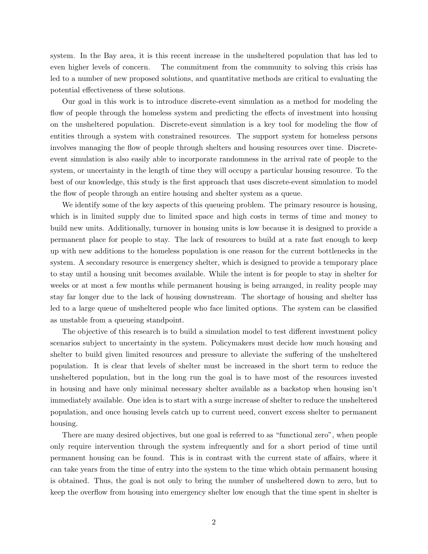system. In the Bay area, it is this recent increase in the unsheltered population that has led to even higher levels of concern. The commitment from the community to solving this crisis has led to a number of new proposed solutions, and quantitative methods are critical to evaluating the potential effectiveness of these solutions.

Our goal in this work is to introduce discrete-event simulation as a method for modeling the flow of people through the homeless system and predicting the effects of investment into housing on the unsheltered population. Discrete-event simulation is a key tool for modeling the flow of entities through a system with constrained resources. The support system for homeless persons involves managing the flow of people through shelters and housing resources over time. Discreteevent simulation is also easily able to incorporate randomness in the arrival rate of people to the system, or uncertainty in the length of time they will occupy a particular housing resource. To the best of our knowledge, this study is the first approach that uses discrete-event simulation to model the flow of people through an entire housing and shelter system as a queue.

We identify some of the key aspects of this queueing problem. The primary resource is housing, which is in limited supply due to limited space and high costs in terms of time and money to build new units. Additionally, turnover in housing units is low because it is designed to provide a permanent place for people to stay. The lack of resources to build at a rate fast enough to keep up with new additions to the homeless population is one reason for the current bottlenecks in the system. A secondary resource is emergency shelter, which is designed to provide a temporary place to stay until a housing unit becomes available. While the intent is for people to stay in shelter for weeks or at most a few months while permanent housing is being arranged, in reality people may stay far longer due to the lack of housing downstream. The shortage of housing and shelter has led to a large queue of unsheltered people who face limited options. The system can be classified as unstable from a queueing standpoint.

The objective of this research is to build a simulation model to test different investment policy scenarios subject to uncertainty in the system. Policymakers must decide how much housing and shelter to build given limited resources and pressure to alleviate the suffering of the unsheltered population. It is clear that levels of shelter must be increased in the short term to reduce the unsheltered population, but in the long run the goal is to have most of the resources invested in housing and have only minimal necessary shelter available as a backstop when housing isn't immediately available. One idea is to start with a surge increase of shelter to reduce the unsheltered population, and once housing levels catch up to current need, convert excess shelter to permanent housing.

There are many desired objectives, but one goal is referred to as "functional zero", when people only require intervention through the system infrequently and for a short period of time until permanent housing can be found. This is in contrast with the current state of affairs, where it can take years from the time of entry into the system to the time which obtain permanent housing is obtained. Thus, the goal is not only to bring the number of unsheltered down to zero, but to keep the overflow from housing into emergency shelter low enough that the time spent in shelter is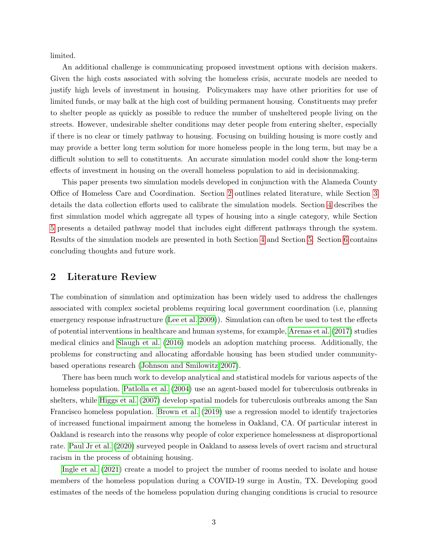limited.

An additional challenge is communicating proposed investment options with decision makers. Given the high costs associated with solving the homeless crisis, accurate models are needed to justify high levels of investment in housing. Policymakers may have other priorities for use of limited funds, or may balk at the high cost of building permanent housing. Constituents may prefer to shelter people as quickly as possible to reduce the number of unsheltered people living on the streets. However, undesirable shelter conditions may deter people from entering shelter, especially if there is no clear or timely pathway to housing. Focusing on building housing is more costly and may provide a better long term solution for more homeless people in the long term, but may be a difficult solution to sell to constituents. An accurate simulation model could show the long-term effects of investment in housing on the overall homeless population to aid in decisionmaking.

This paper presents two simulation models developed in conjunction with the Alameda County Office of Homeless Care and Coordination. Section [2](#page-2-0) outlines related literature, while Section [3](#page-3-0) details the data collection efforts used to calibrate the simulation models. Section [4](#page-5-0) describes the first simulation model which aggregate all types of housing into a single category, while Section [5](#page-7-0) presents a detailed pathway model that includes eight different pathways through the system. Results of the simulation models are presented in both Section [4](#page-5-0) and Section [5.](#page-7-0) Section [6](#page-13-0) contains concluding thoughts and future work.

#### <span id="page-2-0"></span>2 Literature Review

The combination of simulation and optimization has been widely used to address the challenges associated with complex societal problems requiring local government coordination (i.e, planning emergency response infrastructure [\(Lee et al. 2009\)](#page-15-0)). Simulation can often be used to test the effects of potential interventions in healthcare and human systems, for example, [Arenas et al.](#page-14-0) [\(2017\)](#page-14-0) studies medical clinics and [Slaugh et al.](#page-15-1) [\(2016\)](#page-15-1) models an adoption matching process. Additionally, the problems for constructing and allocating affordable housing has been studied under communitybased operations research [\(Johnson and Smilowitz 2007\)](#page-15-2).

There has been much work to develop analytical and statistical models for various aspects of the homeless population. Patibolla et al. [\(2004\)](#page-15-3) use an agent-based model for tuberculosis outbreaks in shelters, while [Higgs et al.](#page-15-4) [\(2007\)](#page-15-4) develop spatial models for tuberculosis outbreaks among the San Francisco homeless population. [Brown et al.](#page-15-5) [\(2019\)](#page-15-5) use a regression model to identify trajectories of increased functional impairment among the homeless in Oakland, CA. Of particular interest in Oakland is research into the reasons why people of color experience homelessness at disproportional rate. [Paul Jr et al.](#page-15-6) [\(2020\)](#page-15-6) surveyed people in Oakland to assess levels of overt racism and structural racism in the process of obtaining housing.

[Ingle et al.](#page-15-7) [\(2021\)](#page-15-7) create a model to project the number of rooms needed to isolate and house members of the homeless population during a COVID-19 surge in Austin, TX. Developing good estimates of the needs of the homeless population during changing conditions is crucial to resource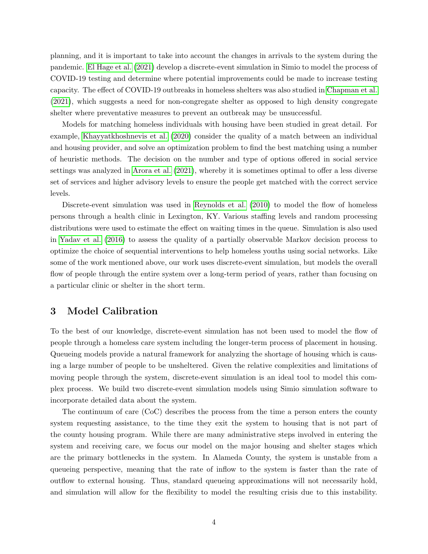planning, and it is important to take into account the changes in arrivals to the system during the pandemic. [El Hage et al.](#page-15-8) [\(2021\)](#page-15-8) develop a discrete-event simulation in Simio to model the process of COVID-19 testing and determine where potential improvements could be made to increase testing capacity. The effect of COVID-19 outbreaks in homeless shelters was also studied in [Chapman et al.](#page-15-9) [\(2021\)](#page-15-9), which suggests a need for non-congregate shelter as opposed to high density congregate shelter where preventative measures to prevent an outbreak may be unsuccessful.

Models for matching homeless individuals with housing have been studied in great detail. For example, [Khayyatkhoshnevis et al.](#page-15-10) [\(2020\)](#page-15-10) consider the quality of a match between an individual and housing provider, and solve an optimization problem to find the best matching using a number of heuristic methods. The decision on the number and type of options offered in social service settings was analyzed in [Arora et al.](#page-14-1) [\(2021\)](#page-14-1), whereby it is sometimes optimal to offer a less diverse set of services and higher advisory levels to ensure the people get matched with the correct service levels.

Discrete-event simulation was used in [Reynolds et al.](#page-15-11) [\(2010\)](#page-15-11) to model the flow of homeless persons through a health clinic in Lexington, KY. Various staffing levels and random processing distributions were used to estimate the effect on waiting times in the queue. Simulation is also used in [Yadav et al.](#page-15-12) [\(2016\)](#page-15-12) to assess the quality of a partially observable Markov decision process to optimize the choice of sequential interventions to help homeless youths using social networks. Like some of the work mentioned above, our work uses discrete-event simulation, but models the overall flow of people through the entire system over a long-term period of years, rather than focusing on a particular clinic or shelter in the short term.

#### <span id="page-3-0"></span>3 Model Calibration

To the best of our knowledge, discrete-event simulation has not been used to model the flow of people through a homeless care system including the longer-term process of placement in housing. Queueing models provide a natural framework for analyzing the shortage of housing which is causing a large number of people to be unsheltered. Given the relative complexities and limitations of moving people through the system, discrete-event simulation is an ideal tool to model this complex process. We build two discrete-event simulation models using Simio simulation software to incorporate detailed data about the system.

The continuum of care (CoC) describes the process from the time a person enters the county system requesting assistance, to the time they exit the system to housing that is not part of the county housing program. While there are many administrative steps involved in entering the system and receiving care, we focus our model on the major housing and shelter stages which are the primary bottlenecks in the system. In Alameda County, the system is unstable from a queueing perspective, meaning that the rate of inflow to the system is faster than the rate of outflow to external housing. Thus, standard queueing approximations will not necessarily hold, and simulation will allow for the flexibility to model the resulting crisis due to this instability.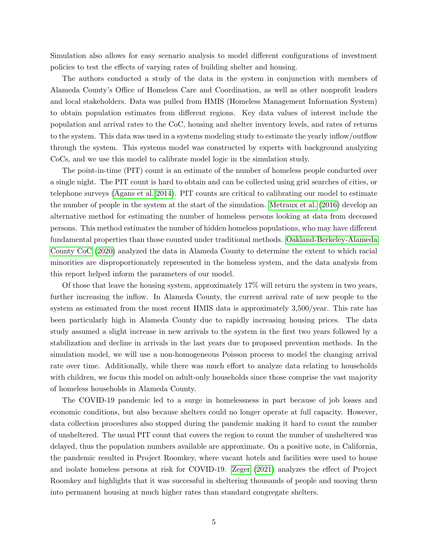Simulation also allows for easy scenario analysis to model different configurations of investment policies to test the effects of varying rates of building shelter and housing.

The authors conducted a study of the data in the system in conjunction with members of Alameda County's Office of Homeless Care and Coordination, as well as other nonprofit leaders and local stakeholders. Data was pulled from HMIS (Homeless Management Information System) to obtain population estimates from different regions. Key data values of interest include the population and arrival rates to the CoC, housing and shelter inventory levels, and rates of returns to the system. This data was used in a systems modeling study to estimate the yearly inflow/outflow through the system. This systems model was constructed by experts with background analyzing CoCs, and we use this model to calibrate model logic in the simulation study.

The point-in-time (PIT) count is an estimate of the number of homeless people conducted over a single night. The PIT count is hard to obtain and can be collected using grid searches of cities, or telephone surveys [\(Agans et al. 2014\)](#page-14-2). PIT counts are critical to calibrating our model to estimate the number of people in the system at the start of the simulation. [Metraux et al.](#page-15-13) [\(2016\)](#page-15-13) develop an alternative method for estimating the number of homeless persons looking at data from deceased persons. This method estimates the number of hidden homeless populations, who may have different fundamental properties than those counted under traditional methods. [Oakland-Berkeley-Alameda](#page-15-14) [County CoC](#page-15-14) [\(2020\)](#page-15-14) analyzed the data in Alameda County to determine the extent to which racial minorities are disproportionately represented in the homeless system, and the data analysis from this report helped inform the parameters of our model.

Of those that leave the housing system, approximately 17% will return the system in two years, further increasing the inflow. In Alameda County, the current arrival rate of new people to the system as estimated from the most recent HMIS data is approximately 3,500/year. This rate has been particularly high in Alameda County due to rapidly increasing housing prices. The data study assumed a slight increase in new arrivals to the system in the first two years followed by a stabilization and decline in arrivals in the last years due to proposed prevention methods. In the simulation model, we will use a non-homogeneous Poisson process to model the changing arrival rate over time. Additionally, while there was much effort to analyze data relating to households with children, we focus this model on adult-only households since those comprise the vast majority of homeless households in Alameda County.

The COVID-19 pandemic led to a surge in homelessness in part because of job losses and economic conditions, but also because shelters could no longer operate at full capacity. However, data collection procedures also stopped during the pandemic making it hard to count the number of unsheltered. The usual PIT count that covers the region to count the number of unsheltered was delayed, thus the population numbers available are approximate. On a positive note, in California, the pandemic resulted in Project Roomkey, where vacant hotels and facilities were used to house and isolate homeless persons at risk for COVID-19. [Zeger](#page-16-0) [\(2021\)](#page-16-0) analyzes the effect of Project Roomkey and highlights that it was successful in sheltering thousands of people and moving them into permanent housing at much higher rates than standard congregate shelters.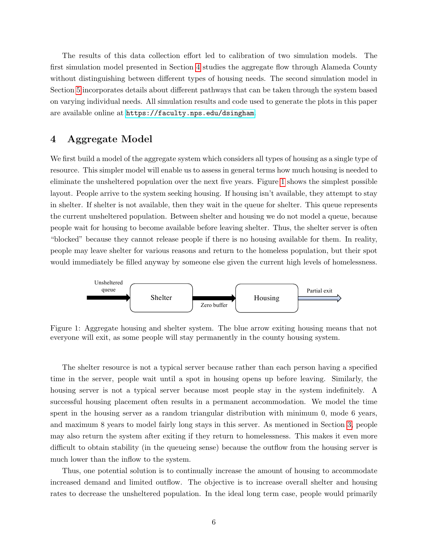The results of this data collection effort led to calibration of two simulation models. The first simulation model presented in Section [4](#page-5-0) studies the aggregate flow through Alameda County without distinguishing between different types of housing needs. The second simulation model in Section [5](#page-7-0) incorporates details about different pathways that can be taken through the system based on varying individual needs. All simulation results and code used to generate the plots in this paper are available online at <https://faculty.nps.edu/dsingham>.

#### <span id="page-5-0"></span>4 Aggregate Model

We first build a model of the aggregate system which considers all types of housing as a single type of resource. This simpler model will enable us to assess in general terms how much housing is needed to eliminate the unsheltered population over the next five years. Figure [1](#page-5-1) shows the simplest possible layout. People arrive to the system seeking housing. If housing isn't available, they attempt to stay in shelter. If shelter is not available, then they wait in the queue for shelter. This queue represents the current unsheltered population. Between shelter and housing we do not model a queue, because people wait for housing to become available before leaving shelter. Thus, the shelter server is often "blocked" because they cannot release people if there is no housing available for them. In reality, people may leave shelter for various reasons and return to the homeless population, but their spot would immediately be filled anyway by someone else given the current high levels of homelessness.

<span id="page-5-1"></span>

Figure 1: Aggregate housing and shelter system. The blue arrow exiting housing means that not everyone will exit, as some people will stay permanently in the county housing system.

The shelter resource is not a typical server because rather than each person having a specified time in the server, people wait until a spot in housing opens up before leaving. Similarly, the housing server is not a typical server because most people stay in the system indefinitely. A successful housing placement often results in a permanent accommodation. We model the time spent in the housing server as a random triangular distribution with minimum 0, mode 6 years, and maximum 8 years to model fairly long stays in this server. As mentioned in Section [3,](#page-3-0) people may also return the system after exiting if they return to homelessness. This makes it even more difficult to obtain stability (in the queueing sense) because the outflow from the housing server is much lower than the inflow to the system.

Thus, one potential solution is to continually increase the amount of housing to accommodate increased demand and limited outflow. The objective is to increase overall shelter and housing rates to decrease the unsheltered population. In the ideal long term case, people would primarily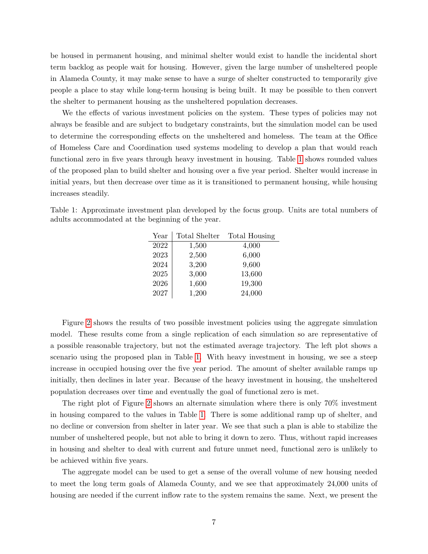be housed in permanent housing, and minimal shelter would exist to handle the incidental short term backlog as people wait for housing. However, given the large number of unsheltered people in Alameda County, it may make sense to have a surge of shelter constructed to temporarily give people a place to stay while long-term housing is being built. It may be possible to then convert the shelter to permanent housing as the unsheltered population decreases.

We the effects of various investment policies on the system. These types of policies may not always be feasible and are subject to budgetary constraints, but the simulation model can be used to determine the corresponding effects on the unsheltered and homeless. The team at the Office of Homeless Care and Coordination used systems modeling to develop a plan that would reach functional zero in five years through heavy investment in housing. Table [1](#page-6-0) shows rounded values of the proposed plan to build shelter and housing over a five year period. Shelter would increase in initial years, but then decrease over time as it is transitioned to permanent housing, while housing increases steadily.

<span id="page-6-0"></span>Table 1: Approximate investment plan developed by the focus group. Units are total numbers of adults accommodated at the beginning of the year.

| Year | Total Shelter | Total Housing |
|------|---------------|---------------|
| 2022 | 1,500         | 4,000         |
| 2023 | 2,500         | 6,000         |
| 2024 | 3,200         | 9,600         |
| 2025 | 3,000         | 13,600        |
| 2026 | 1,600         | 19,300        |
| 2027 | 1,200         | 24,000        |

Figure [2](#page-7-1) shows the results of two possible investment policies using the aggregate simulation model. These results come from a single replication of each simulation so are representative of a possible reasonable trajectory, but not the estimated average trajectory. The left plot shows a scenario using the proposed plan in Table [1.](#page-6-0) With heavy investment in housing, we see a steep increase in occupied housing over the five year period. The amount of shelter available ramps up initially, then declines in later year. Because of the heavy investment in housing, the unsheltered population decreases over time and eventually the goal of functional zero is met.

The right plot of Figure [2](#page-7-1) shows an alternate simulation where there is only 70% investment in housing compared to the values in Table [1.](#page-6-0) There is some additional ramp up of shelter, and no decline or conversion from shelter in later year. We see that such a plan is able to stabilize the number of unsheltered people, but not able to bring it down to zero. Thus, without rapid increases in housing and shelter to deal with current and future unmet need, functional zero is unlikely to be achieved within five years.

The aggregate model can be used to get a sense of the overall volume of new housing needed to meet the long term goals of Alameda County, and we see that approximately 24,000 units of housing are needed if the current inflow rate to the system remains the same. Next, we present the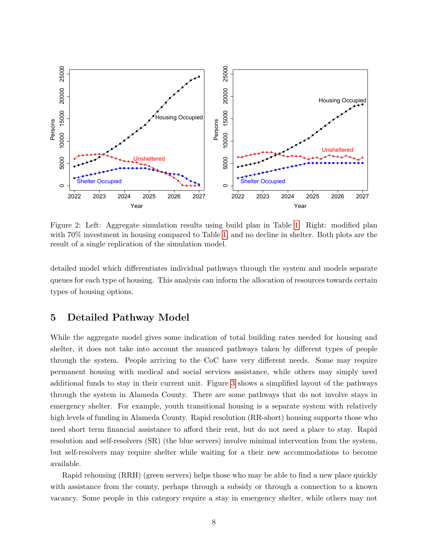<span id="page-7-1"></span>

Figure 2: Left: Aggregate simulation results using build plan in Table [1.](#page-6-0) Right: modified plan with 70% investment in housing compared to Table [1,](#page-6-0) and no decline in shelter. Both plots are the result of a single replication of the simulation model.

detailed model which differentiates individual pathways through the system and models separate queues for each type of housing. This analysis can inform the allocation of resources towards certain types of housing options.

#### <span id="page-7-0"></span>5 Detailed Pathway Model

While the aggregate model gives some indication of total building rates needed for housing and shelter, it does not take into account the nuanced pathways taken by different types of people through the system. People arriving to the CoC have very different needs. Some may require permanent housing with medical and social services assistance, while others may simply need additional funds to stay in their current unit. Figure [3](#page-8-0) shows a simplified layout of the pathways through the system in Alameda County. There are some pathways that do not involve stays in emergency shelter. For example, youth transitional housing is a separate system with relatively high levels of funding in Alameda County. Rapid resolution (RR-short) housing supports those who need short term financial assistance to afford their rent, but do not need a place to stay. Rapid resolution and self-resolvers (SR) (the blue servers) involve minimal intervention from the system, but self-resolvers may require shelter while waiting for a their new accommodations to become available.

Rapid rehousing (RRH) (green servers) helps those who may be able to find a new place quickly with assistance from the county, perhaps through a subsidy or through a connection to a known vacancy. Some people in this category require a stay in emergency shelter, while others may not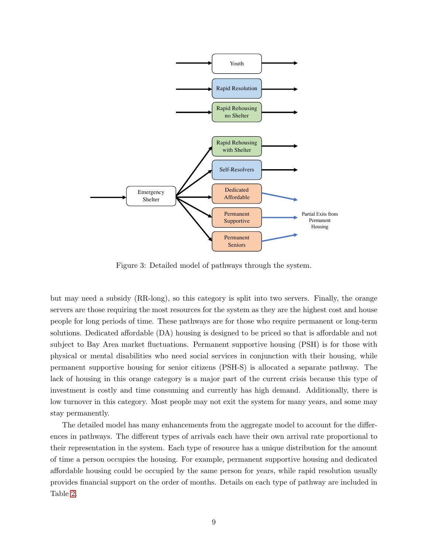<span id="page-8-0"></span>

Figure 3: Detailed model of pathways through the system.

but may need a subsidy (RR-long), so this category is split into two servers. Finally, the orange servers are those requiring the most resources for the system as they are the highest cost and house people for long periods of time. These pathways are for those who require permanent or long-term solutions. Dedicated affordable (DA) housing is designed to be priced so that is affordable and not subject to Bay Area market fluctuations. Permanent supportive housing (PSH) is for those with physical or mental disabilities who need social services in conjunction with their housing, while permanent supportive housing for senior citizens (PSH-S) is allocated a separate pathway. The lack of housing in this orange category is a major part of the current crisis because this type of investment is costly and time consuming and currently has high demand. Additionally, there is low turnover in this category. Most people may not exit the system for many years, and some may stay permanently.

The detailed model has many enhancements from the aggregate model to account for the differences in pathways. The different types of arrivals each have their own arrival rate proportional to their representation in the system. Each type of resource has a unique distribution for the amount of time a person occupies the housing. For example, permanent supportive housing and dedicated affordable housing could be occupied by the same person for years, while rapid resolution usually provides financial support on the order of months. Details on each type of pathway are included in Table [2.](#page-9-0)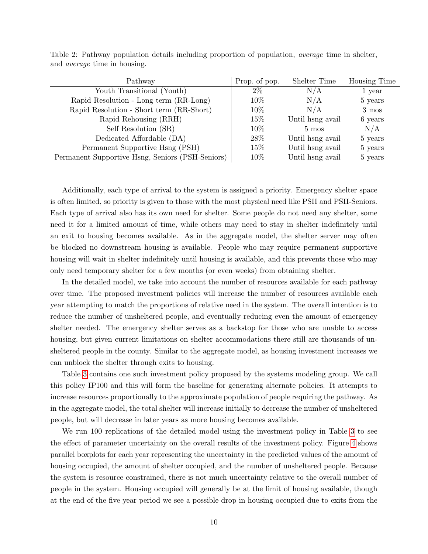| Pathway                                          | Prop. of pop. | Shelter Time     | Housing Time |
|--------------------------------------------------|---------------|------------------|--------------|
| Youth Transitional (Youth)                       | $2\%$         | N/A              | 1 year       |
| Rapid Resolution - Long term (RR-Long)           | $10\%$        | N/A              | 5 years      |
| Rapid Resolution - Short term (RR-Short)         | $10\%$        | N/A              | 3 mos        |
| Rapid Rehousing (RRH)                            | $15\%$        | Until hang avail | 6 years      |
| Self Resolution (SR)                             | $10\%$        | $5 \text{ mos}$  | N/A          |
| Dedicated Affordable (DA)                        | 28\%          | Until hang avail | 5 years      |
| Permanent Supportive Hsng (PSH)                  | 15\%          | Until hang avail | 5 years      |
| Permanent Supportive Hsng, Seniors (PSH-Seniors) | 10\%          | Until hsng avail | 5 years      |

<span id="page-9-0"></span>Table 2: Pathway population details including proportion of population, average time in shelter, and average time in housing.

Additionally, each type of arrival to the system is assigned a priority. Emergency shelter space is often limited, so priority is given to those with the most physical need like PSH and PSH-Seniors. Each type of arrival also has its own need for shelter. Some people do not need any shelter, some need it for a limited amount of time, while others may need to stay in shelter indefinitely until an exit to housing becomes available. As in the aggregate model, the shelter server may often be blocked no downstream housing is available. People who may require permanent supportive housing will wait in shelter indefinitely until housing is available, and this prevents those who may only need temporary shelter for a few months (or even weeks) from obtaining shelter.

In the detailed model, we take into account the number of resources available for each pathway over time. The proposed investment policies will increase the number of resources available each year attempting to match the proportions of relative need in the system. The overall intention is to reduce the number of unsheltered people, and eventually reducing even the amount of emergency shelter needed. The emergency shelter serves as a backstop for those who are unable to access housing, but given current limitations on shelter accommodations there still are thousands of unsheltered people in the county. Similar to the aggregate model, as housing investment increases we can unblock the shelter through exits to housing.

Table [3](#page-10-0) contains one such investment policy proposed by the systems modeling group. We call this policy IP100 and this will form the baseline for generating alternate policies. It attempts to increase resources proportionally to the approximate population of people requiring the pathway. As in the aggregate model, the total shelter will increase initially to decrease the number of unsheltered people, but will decrease in later years as more housing becomes available.

We run 100 replications of the detailed model using the investment policy in Table [3](#page-10-0) to see the effect of parameter uncertainty on the overall results of the investment policy. Figure [4](#page-10-1) shows parallel boxplots for each year representing the uncertainty in the predicted values of the amount of housing occupied, the amount of shelter occupied, and the number of unsheltered people. Because the system is resource constrained, there is not much uncertainty relative to the overall number of people in the system. Housing occupied will generally be at the limit of housing available, though at the end of the five year period we see a possible drop in housing occupied due to exits from the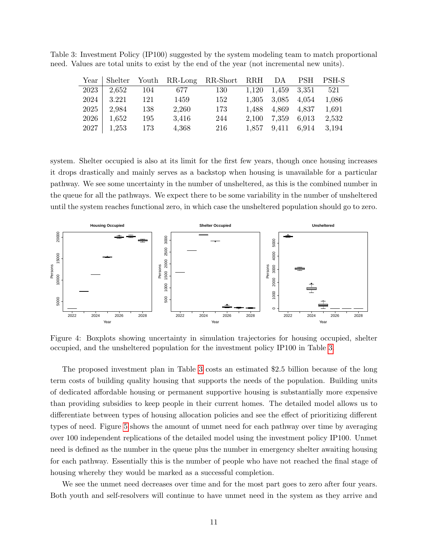<span id="page-10-0"></span>Table 3: Investment Policy (IP100) suggested by the system modeling team to match proportional need. Values are total units to exist by the end of the year (not incremental new units).

|      |                   |       |       | Year Shelter Youth RR-Long RR-Short RRH DA PSH PSH-S |                         |                   |                         |       |
|------|-------------------|-------|-------|------------------------------------------------------|-------------------------|-------------------|-------------------------|-------|
| 2023 | $\frac{2,652}{ }$ | - 104 | 677   | 130                                                  | $1,120$ $1,459$ $3,351$ |                   |                         | 521   |
| 2024 | 3.221             | 121   | 1459  | 152                                                  |                         | 1,305 3,085 4,054 |                         | 1,086 |
| 2025 | 2,984             | 138   | 2,260 | 173                                                  |                         | 1,488 4,869 4,837 |                         | 1.691 |
| 2026 | 1,652             | 195   | 3.416 | 244                                                  |                         | 2,100 7,359 6,013 |                         | 2,532 |
|      | $2027$   1,253    | 173   | 4,368 | $216\,$                                              |                         |                   | 1,857 9,411 6,914 3,194 |       |

system. Shelter occupied is also at its limit for the first few years, though once housing increases it drops drastically and mainly serves as a backstop when housing is unavailable for a particular pathway. We see some uncertainty in the number of unsheltered, as this is the combined number in the queue for all the pathways. We expect there to be some variability in the number of unsheltered until the system reaches functional zero, in which case the unsheltered population should go to zero.

<span id="page-10-1"></span>

Figure 4: Boxplots showing uncertainty in simulation trajectories for housing occupied, shelter occupied, and the unsheltered population for the investment policy IP100 in Table [3.](#page-10-0)

The proposed investment plan in Table [3](#page-10-0) costs an estimated \$2.5 billion because of the long term costs of building quality housing that supports the needs of the population. Building units of dedicated affordable housing or permanent supportive housing is substantially more expensive than providing subsidies to keep people in their current homes. The detailed model allows us to differentiate between types of housing allocation policies and see the effect of prioritizing different types of need. Figure [5](#page-11-0) shows the amount of unmet need for each pathway over time by averaging over 100 independent replications of the detailed model using the investment policy IP100. Unmet need is defined as the number in the queue plus the number in emergency shelter awaiting housing for each pathway. Essentially this is the number of people who have not reached the final stage of housing whereby they would be marked as a successful completion.

We see the unmet need decreases over time and for the most part goes to zero after four years. Both youth and self-resolvers will continue to have unmet need in the system as they arrive and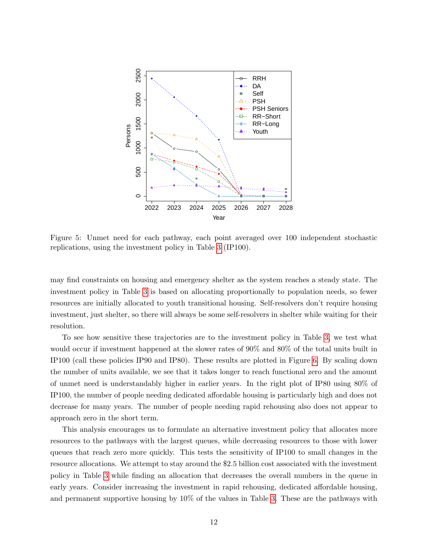<span id="page-11-0"></span>

Figure 5: Unmet need for each pathway, each point averaged over 100 independent stochastic replications, using the investment policy in Table [3](#page-10-0) (IP100).

may find constraints on housing and emergency shelter as the system reaches a steady state. The investment policy in Table [3](#page-10-0) is based on allocating proportionally to population needs, so fewer resources are initially allocated to youth transitional housing. Self-resolvers don't require housing investment, just shelter, so there will always be some self-resolvers in shelter while waiting for their resolution.

To see how sensitive these trajectories are to the investment policy in Table [3,](#page-10-0) we test what would occur if investment happened at the slower rates of 90% and 80% of the total units built in IP100 (call these policies IP90 and IP80). These results are plotted in Figure [6.](#page-12-0) By scaling down the number of units available, we see that it takes longer to reach functional zero and the amount of unmet need is understandably higher in earlier years. In the right plot of IP80 using 80% of IP100, the number of people needing dedicated affordable housing is particularly high and does not decrease for many years. The number of people needing rapid rehousing also does not appear to approach zero in the short term.

This analysis encourages us to formulate an alternative investment policy that allocates more resources to the pathways with the largest queues, while decreasing resources to those with lower queues that reach zero more quickly. This tests the sensitivity of IP100 to small changes in the resource allocations. We attempt to stay around the \$2.5 billion cost associated with the investment policy in Table [3](#page-10-0) while finding an allocation that decreases the overall numbers in the queue in early years. Consider increasing the investment in rapid rehousing, dedicated affordable housing, and permanent supportive housing by 10% of the values in Table [3.](#page-10-0) These are the pathways with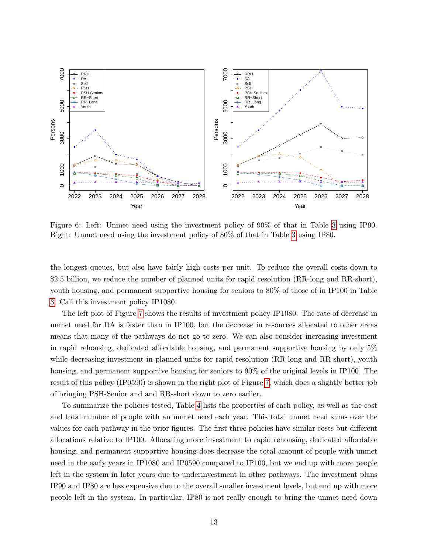<span id="page-12-0"></span>

Figure 6: Left: Unmet need using the investment policy of 90% of that in Table [3](#page-10-0) using IP90. Right: Unmet need using the investment policy of 80% of that in Table [3](#page-10-0) using IP80.

the longest queues, but also have fairly high costs per unit. To reduce the overall costs down to \$2.5 billion, we reduce the number of planned units for rapid resolution (RR-long and RR-short), youth housing, and permanent supportive housing for seniors to 80% of those of in IP100 in Table [3.](#page-10-0) Call this investment policy IP1080.

The left plot of Figure [7](#page-13-1) shows the results of investment policy IP1080. The rate of decrease in unmet need for DA is faster than in IP100, but the decrease in resources allocated to other areas means that many of the pathways do not go to zero. We can also consider increasing investment in rapid rehousing, dedicated affordable housing, and permanent supportive housing by only 5% while decreasing investment in planned units for rapid resolution (RR-long and RR-short), youth housing, and permanent supportive housing for seniors to  $90\%$  of the original levels in IP100. The result of this policy (IP0590) is shown in the right plot of Figure [7,](#page-13-1) which does a slightly better job of bringing PSH-Senior and and RR-short down to zero earlier.

To summarize the policies tested, Table [4](#page-13-2) lists the properties of each policy, as well as the cost and total number of people with an unmet need each year. This total unmet need sums over the values for each pathway in the prior figures. The first three policies have similar costs but different allocations relative to IP100. Allocating more investment to rapid rehousing, dedicated affordable housing, and permanent supportive housing does decrease the total amount of people with unmet need in the early years in IP1080 and IP0590 compared to IP100, but we end up with more people left in the system in later years due to underinvestment in other pathways. The investment plans IP90 and IP80 are less expensive due to the overall smaller investment levels, but end up with more people left in the system. In particular, IP80 is not really enough to bring the unmet need down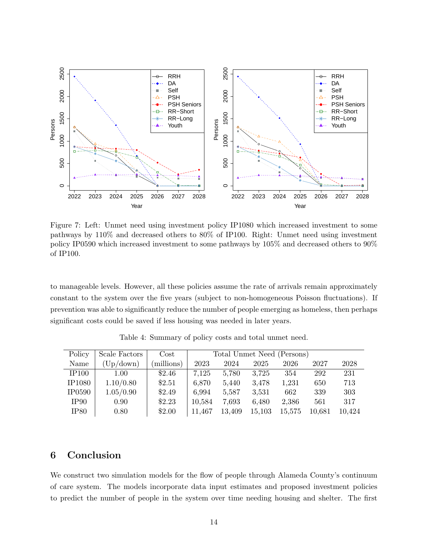<span id="page-13-1"></span>

Figure 7: Left: Unmet need using investment policy IP1080 which increased investment to some pathways by 110% and decreased others to 80% of IP100. Right: Unmet need using investment policy IP0590 which increased investment to some pathways by 105% and decreased others to 90% of IP100.

to manageable levels. However, all these policies assume the rate of arrivals remain approximately constant to the system over the five years (subject to non-homogeneous Poisson fluctuations). If prevention was able to significantly reduce the number of people emerging as homeless, then perhaps significant costs could be saved if less housing was needed in later years.

<span id="page-13-2"></span>

| Policy        | Scale Factors | $\cos t$  | Total Unmet Need (Persons) |        |        |        |        |        |
|---------------|---------------|-----------|----------------------------|--------|--------|--------|--------|--------|
| Name          | (Up/down)     | millions) | 2023                       | 2024   | 2025   | 2026   | 2027   | 2028   |
| IP100         | 1.00          | \$2.46    | 7,125                      | 5,780  | 3,725  | 354    | 292    | 231    |
| <b>IP1080</b> | 1.10/0.80     | \$2.51    | 6,870                      | 5,440  | 3,478  | 1,231  | 650    | 713    |
| <b>IP0590</b> | 1.05/0.90     | \$2.49    | 6,994                      | 5,587  | 3,531  | 662    | 339    | 303    |
| IP90          | 0.90          | \$2.23    | 10,584                     | 7,693  | 6,480  | 2,386  | 561    | 317    |
| IP80          | 0.80          | \$2.00    | 11,467                     | 13,409 | 15,103 | 15,575 | 10.681 | 10,424 |

Table 4: Summary of policy costs and total unmet need.

## <span id="page-13-0"></span>6 Conclusion

We construct two simulation models for the flow of people through Alameda County's continuum of care system. The models incorporate data input estimates and proposed investment policies to predict the number of people in the system over time needing housing and shelter. The first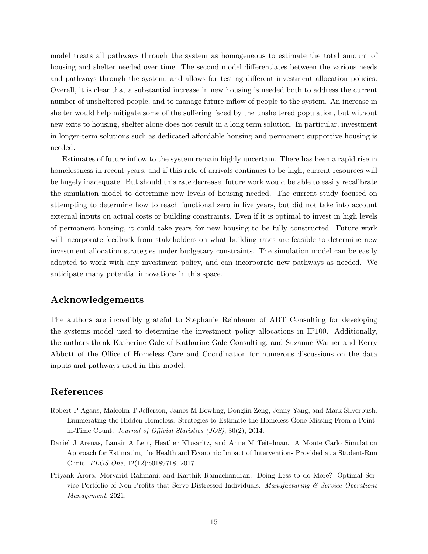model treats all pathways through the system as homogeneous to estimate the total amount of housing and shelter needed over time. The second model differentiates between the various needs and pathways through the system, and allows for testing different investment allocation policies. Overall, it is clear that a substantial increase in new housing is needed both to address the current number of unsheltered people, and to manage future inflow of people to the system. An increase in shelter would help mitigate some of the suffering faced by the unsheltered population, but without new exits to housing, shelter alone does not result in a long term solution. In particular, investment in longer-term solutions such as dedicated affordable housing and permanent supportive housing is needed.

Estimates of future inflow to the system remain highly uncertain. There has been a rapid rise in homelessness in recent years, and if this rate of arrivals continues to be high, current resources will be hugely inadequate. But should this rate decrease, future work would be able to easily recalibrate the simulation model to determine new levels of housing needed. The current study focused on attempting to determine how to reach functional zero in five years, but did not take into account external inputs on actual costs or building constraints. Even if it is optimal to invest in high levels of permanent housing, it could take years for new housing to be fully constructed. Future work will incorporate feedback from stakeholders on what building rates are feasible to determine new investment allocation strategies under budgetary constraints. The simulation model can be easily adapted to work with any investment policy, and can incorporate new pathways as needed. We anticipate many potential innovations in this space.

#### Acknowledgements

The authors are incredibly grateful to Stephanie Reinhauer of ABT Consulting for developing the systems model used to determine the investment policy allocations in IP100. Additionally, the authors thank Katherine Gale of Katharine Gale Consulting, and Suzanne Warner and Kerry Abbott of the Office of Homeless Care and Coordination for numerous discussions on the data inputs and pathways used in this model.

### References

- <span id="page-14-2"></span>Robert P Agans, Malcolm T Jefferson, James M Bowling, Donglin Zeng, Jenny Yang, and Mark Silverbush. Enumerating the Hidden Homeless: Strategies to Estimate the Homeless Gone Missing From a Pointin-Time Count. Journal of Official Statistics (JOS), 30(2), 2014.
- <span id="page-14-0"></span>Daniel J Arenas, Lanair A Lett, Heather Klusaritz, and Anne M Teitelman. A Monte Carlo Simulation Approach for Estimating the Health and Economic Impact of Interventions Provided at a Student-Run Clinic. PLOS One, 12(12):e0189718, 2017.
- <span id="page-14-1"></span>Priyank Arora, Morvarid Rahmani, and Karthik Ramachandran. Doing Less to do More? Optimal Service Portfolio of Non-Profits that Serve Distressed Individuals. Manufacturing  $\mathcal C$  Service Operations Management, 2021.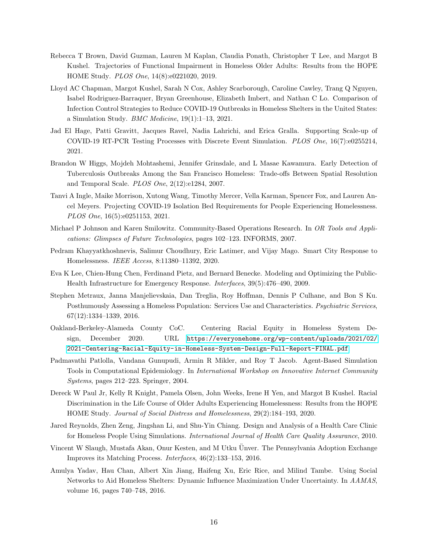- <span id="page-15-5"></span>Rebecca T Brown, David Guzman, Lauren M Kaplan, Claudia Ponath, Christopher T Lee, and Margot B Kushel. Trajectories of Functional Impairment in Homeless Older Adults: Results from the HOPE HOME Study. PLOS One, 14(8):e0221020, 2019.
- <span id="page-15-9"></span>Lloyd AC Chapman, Margot Kushel, Sarah N Cox, Ashley Scarborough, Caroline Cawley, Trang Q Nguyen, Isabel Rodriguez-Barraquer, Bryan Greenhouse, Elizabeth Imbert, and Nathan C Lo. Comparison of Infection Control Strategies to Reduce COVID-19 Outbreaks in Homeless Shelters in the United States: a Simulation Study. *BMC Medicine*,  $19(1):1-13$ ,  $2021$ .
- <span id="page-15-8"></span>Jad El Hage, Patti Gravitt, Jacques Ravel, Nadia Lahrichi, and Erica Gralla. Supporting Scale-up of COVID-19 RT-PCR Testing Processes with Discrete Event Simulation. PLOS One, 16(7):e0255214, 2021.
- <span id="page-15-4"></span>Brandon W Higgs, Mojdeh Mohtashemi, Jennifer Grinsdale, and L Masae Kawamura. Early Detection of Tuberculosis Outbreaks Among the San Francisco Homeless: Trade-offs Between Spatial Resolution and Temporal Scale. PLOS One, 2(12):e1284, 2007.
- <span id="page-15-7"></span>Tanvi A Ingle, Maike Morrison, Xutong Wang, Timothy Mercer, Vella Karman, Spencer Fox, and Lauren Ancel Meyers. Projecting COVID-19 Isolation Bed Requirements for People Experiencing Homelessness. PLOS One, 16(5):e0251153, 2021.
- <span id="page-15-2"></span>Michael P Johnson and Karen Smilowitz. Community-Based Operations Research. In OR Tools and Applications: Glimpses of Future Technologies, pages 102–123. INFORMS, 2007.
- <span id="page-15-10"></span>Pedram Khayyatkhoshnevis, Salimur Choudhury, Eric Latimer, and Vijay Mago. Smart City Response to Homelessness. IEEE Access, 8:11380–11392, 2020.
- <span id="page-15-0"></span>Eva K Lee, Chien-Hung Chen, Ferdinand Pietz, and Bernard Benecke. Modeling and Optimizing the Public-Health Infrastructure for Emergency Response. Interfaces, 39(5):476–490, 2009.
- <span id="page-15-13"></span>Stephen Metraux, Janna Manjelievskaia, Dan Treglia, Roy Hoffman, Dennis P Culhane, and Bon S Ku. Posthumously Assessing a Homeless Population: Services Use and Characteristics. Psychiatric Services, 67(12):1334–1339, 2016.
- <span id="page-15-14"></span>Oakland-Berkeley-Alameda County CoC. Centering Racial Equity in Homeless System Design, December 2020. URL [https://everyonehome.org/wp-content/uploads/2021/02/](https://everyonehome.org/wp-content/uploads/2021/02/2021-Centering-Racial-Equity-in-Homeless-System-Design-Full-Report-FINAL.pdf) [2021-Centering-Racial-Equity-in-Homeless-System-Design-Full-Report-FINAL.pdf](https://everyonehome.org/wp-content/uploads/2021/02/2021-Centering-Racial-Equity-in-Homeless-System-Design-Full-Report-FINAL.pdf).
- <span id="page-15-3"></span>Padmavathi Patlolla, Vandana Gunupudi, Armin R Mikler, and Roy T Jacob. Agent-Based Simulation Tools in Computational Epidemiology. In International Workshop on Innovative Internet Community Systems, pages 212–223. Springer, 2004.
- <span id="page-15-6"></span>Dereck W Paul Jr, Kelly R Knight, Pamela Olsen, John Weeks, Irene H Yen, and Margot B Kushel. Racial Discrimination in the Life Course of Older Adults Experiencing Homelessness: Results from the HOPE HOME Study. Journal of Social Distress and Homelessness, 29(2):184–193, 2020.
- <span id="page-15-11"></span>Jared Reynolds, Zhen Zeng, Jingshan Li, and Shu-Yin Chiang. Design and Analysis of a Health Care Clinic for Homeless People Using Simulations. International Journal of Health Care Quality Assurance, 2010.
- <span id="page-15-1"></span>Vincent W Slaugh, Mustafa Akan, Onur Kesten, and M Utku Ünver. The Pennsylvania Adoption Exchange Improves its Matching Process. Interfaces, 46(2):133–153, 2016.
- <span id="page-15-12"></span>Amulya Yadav, Hau Chan, Albert Xin Jiang, Haifeng Xu, Eric Rice, and Milind Tambe. Using Social Networks to Aid Homeless Shelters: Dynamic Influence Maximization Under Uncertainty. In AAMAS, volume 16, pages 740–748, 2016.